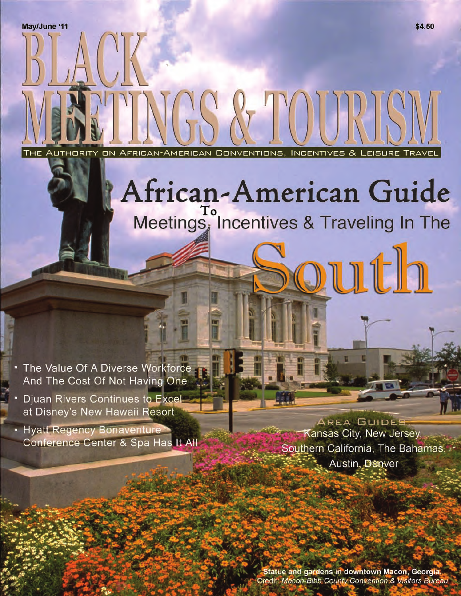AFRICAN-AMERICAN CONVENTIONS, INCENTIVES & THE AUTHORITY **ON** 

# African-American Guide Meetings, Incentives & Traveling In The

 $\mathcal{T}$  (1)

The Value Of A Diverse Workforce And The Cost Of Not Having One

Djuan Rivers Continues to Excelat Disney's New Hawaii Resort

• Hyatt Regency Bonaventure Conference Center & Spa Has It All

AREA GUIDES Kansas City, New Jersey, Southern California, The Bahamas, Austin, Denver

Statue and gardens in downtown Macon, Georgia Credit: Macon-Bibb County Convention & Visitors Bureau

LEISURE

ruth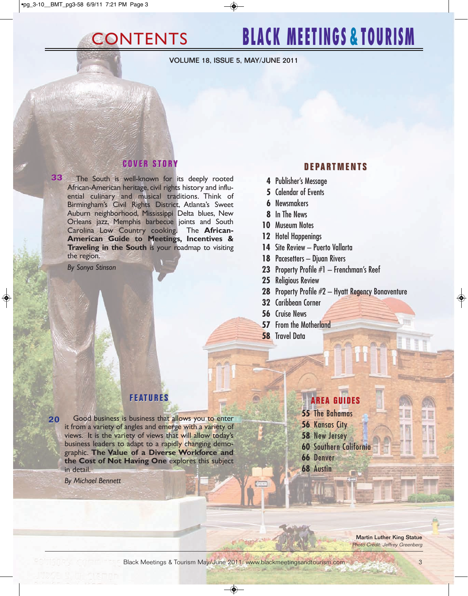## CONTENTS **BLACK MEETINGS & TOURISM**

**VOLUME 18, ISSUE 5, MAY/JUNE 2011**

#### $C$  O V E R S T O R Y

**33** The South is well-known for its deeply rooted African-American heritage, civil rights history and influential culinary and musical traditions. Think of Birmingham's Civil Rights District, Atlanta's Sweet Auburn neighborhood, Mississippi Delta blues, New Orleans jazz, Memphis barbecue joints and South Carolina Low Country cooking. The **African-American Guide to Meetings, Incentives & Traveling in the South** is your roadmap to visiting the region.

*By Sonya Stinson*

### **D E P A R T M E N T S D E P A R T M E N T S**

- **4** Publisher's Message
- **5** Calendar of Events
- **6** Newsmakers
- **8** In The News
- **10** Museum Notes
- **12** Hotel Happenings
- **14** Site Review Puerto Vallarta
- **18** Pacesetters Djuan Rivers
- **23** [Property Profile #1 Frenchman's Reef](#page-2-0)
- **25** Religious Review
- **28** Property Profile #2 Hyatt Regency Bonaventure
- **32** Caribbean Corner
- **56** Cruise News
- **57** From the Motherland
- **58** Travel Data

**20** Good business is business that allows you to enter it from a variety of angles and emerge with a variety of views. It is the variety of views that will allow today's business leaders to adapt to a rapidly changing demographic. **The Value of a Diverse Workforce and the Cost of Not Having One** explores this subject in detail.

*By Michael Bennett*

### **F E AT U R E S F E U R E S AREA GUIDES AREA GUIDES**

- **55** The Bahamas
- **56** Kansas City
- **58** New Jersey
- **60** Southern California
- **66** Denver
- **68** Austin

**Martin Luther King Statue** Photo Credit: Jeffrey Greenberg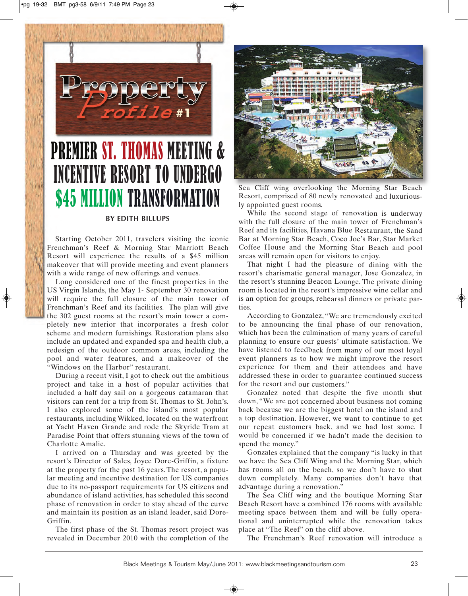<span id="page-2-0"></span>

## PREMIER ST. THOMAS MEETING & INCENTIVE RESORT TO UNDERGO **\$45 MILLION TRANSFORMATION**

#### **BY EDITH BILLUPS**

Starting October 2011, travelers visiting the iconic Frenchman's Reef & Morning Star Marriott Beach Resort will experience the results of a \$45 million makeover that will provide meeting and event planners with a wide range of new offerings and venues.

Long considered one of the finest properties in the US Virgin Islands, the May 1- September 30 renovation will require the full closure of the main tower of Frenchman's Reef and its facilities. The plan will give the 302 guest rooms at the resort's main tower a completely new interior that incorporates a fresh color scheme and modern furnishings. Restoration plans also include an updated and expanded spa and health club, a redesign of the outdoor common areas, including the pool and water features, and a makeover of the "Windows on the Harbor" restaurant.

During a recent visit, I got to check out the ambitious project and take in a host of popular activities that included a half day sail on a gorgeous catamaran that visitors can rent for a trip from St. Thomas to St. John's. I also explored some of the island's most popular restaurants, including Wikked, located on the waterfront at Yacht Haven Grande and rode the Skyride Tram at Paradise Point that offers stunning views of the town of Charlotte Amalie.

I arrived on a Thursday and was greeted by the resort's Director of Sales, Joyce Dore-Griffin, a fixture at the property for the past 16 years. The resort, a popular meeting and incentive destination for US companies due to its no-passport requirements for US citizens and abundance of island activities, has scheduled this second phase of renovation in order to stay ahead of the curve and maintain its position as an island leader, said Dore-Griffin.

The first phase of the St. Thomas resort project was revealed in December 2010 with the completion of the



Sea Cliff wing overlooking the Morning Star Beach Resort, comprised of 80 newly renovated and luxuriously appointed guest rooms.

While the second stage of renovation is underway with the full closure of the main tower of Frenchman's Reef and its facilities, Havana Blue Restaurant, the Sand Bar at Morning Star Beach, Coco Joe's Bar, Star Market Coffee House and the Morning Star Beach and pool areas will remain open for visitors to enjoy.

That night I had the pleasure of dining with the resort's charismatic general manager, Jose Gonzalez, in the resort's stunning Beacon Lounge. The private dining room is located in the resort's impressive wine cellar and is an option for groups, rehearsal dinners or private parties.

According to Gonzalez, "We are tremendously excited to be announcing the final phase of our renovation, which has been the culmination of many years of careful planning to ensure our guests' ultimate satisfaction. We have listened to feedback from many of our most loyal event planners as to how we might improve the resort experience for them and their attendees and have addressed these in order to guarantee continued success for the resort and our customers."

Gonzalez noted that despite the five month shut down, "We are not concerned about business not coming back because we are the biggest hotel on the island and a top destination. However, we want to continue to get our repeat customers back, and we had lost some. I would be concerned if we hadn't made the decision to spend the money."

Gonzales explained that the company "is lucky in that we have the Sea Cliff Wing and the Morning Star, which has rooms all on the beach, so we don't have to shut down completely. Many companies don't have that advantage during a renovation."

The Sea Cliff wing and the boutique Morning Star Beach Resort have a combined 176 rooms with available meeting space between them and will be fully operational and uninterrupted while the renovation takes place at "The Reef" on the cliff above.

The Frenchman's Reef renovation will introduce a